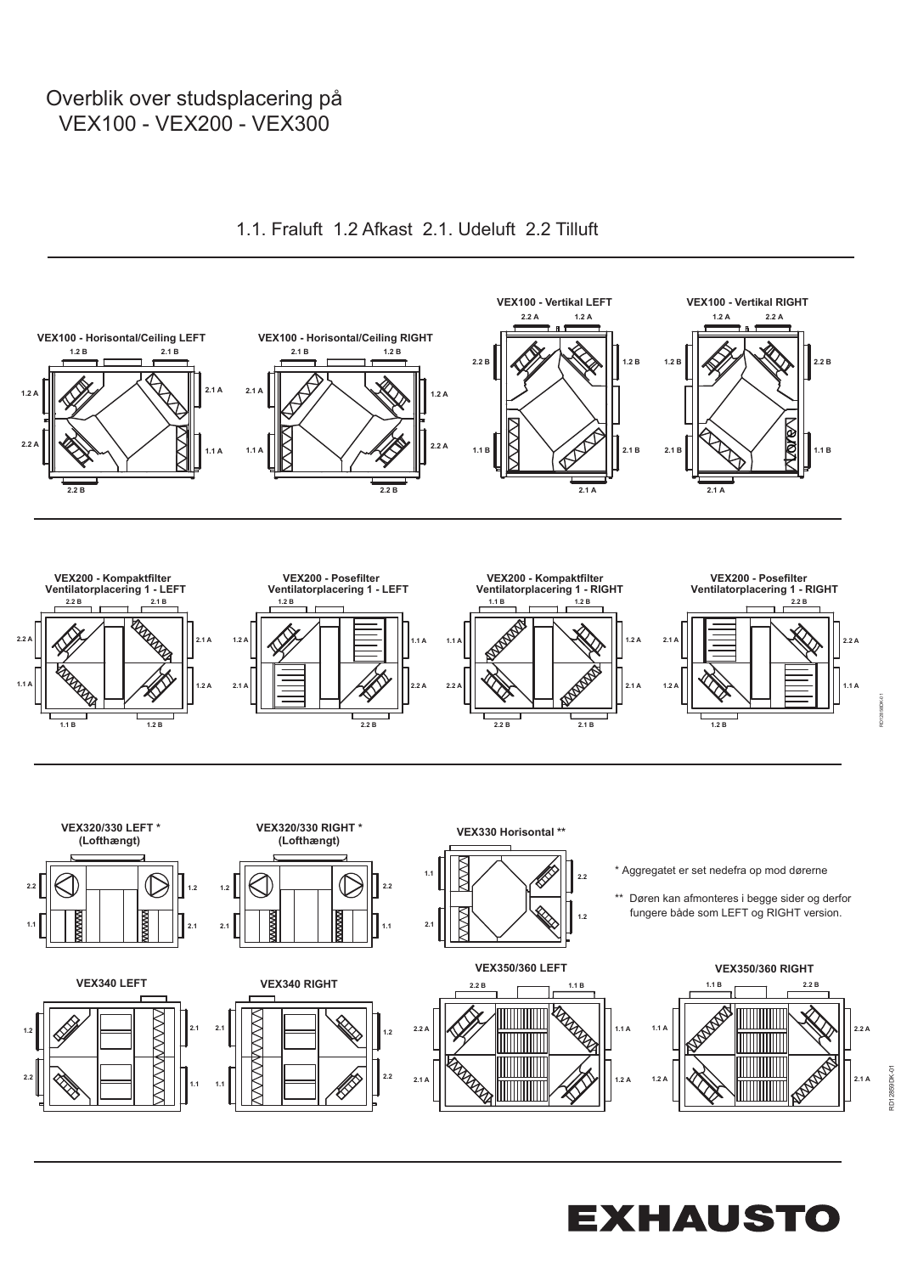## Overblik over studsplacering på **Overblik** over studsplacering på VEX100 - VEX200 - VEX300 VEX100 - VEX200 - VEX300 VEX100 - VEX200 - VEX300 auf VEX100 - VEX200 - VEX300



1.1. Fraluft 1.2 Afkast 2.1. Udeluft 2.2 Tilluft

**EXHAUSTO** 

RD12858DK-01 RD12858DK-01

RD12859DK-01

RD12859DK-01